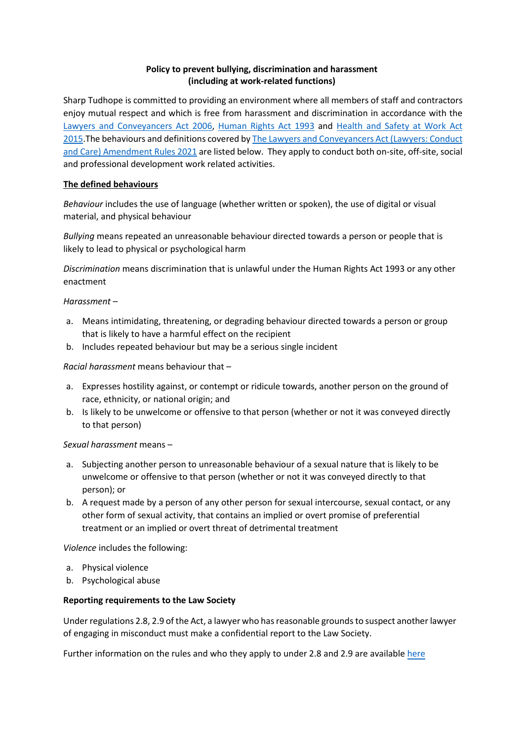# **Policy to prevent bullying, discrimination and harassment (including at work-related functions)**

Sharp Tudhope is committed to providing an environment where all members of staff and contractors enjoy mutual respect and which is free from harassment and discrimination in accordance with the [Lawyers and Conveyancers Act 2006,](https://www.legislation.govt.nz/act/public/2006/0001/latest/DLM364939.html) [Human Rights Act 1993](https://www.legislation.govt.nz/act/public/1993/0082/latest/DLM304212.html) and [Health and Safety at Work Act](https://www.legislation.govt.nz/act/public/2015/0070/latest/DLM5976660.html)  [2015.](https://www.legislation.govt.nz/act/public/2015/0070/latest/DLM5976660.html) The behaviours and definitions covered by The Lawyers and Conveyancers Act (Lawyers: Conduct [and Care\) Amendment Rules 2021](https://www.legislation.govt.nz/regulation/public/2021/0061/latest/whole.html) are listed below. They apply to conduct both on-site, off-site, social and professional development work related activities.

## **The defined behaviours**

*Behaviour* includes the use of language (whether written or spoken), the use of digital or visual material, and physical behaviour

*Bullying* means repeated an unreasonable behaviour directed towards a person or people that is likely to lead to physical or psychological harm

*Discrimination* means discrimination that is unlawful under the Human Rights Act 1993 or any other enactment

## *Harassment* –

- a. Means intimidating, threatening, or degrading behaviour directed towards a person or group that is likely to have a harmful effect on the recipient
- b. Includes repeated behaviour but may be a serious single incident

## *Racial harassment* means behaviour that –

- a. Expresses hostility against, or contempt or ridicule towards, another person on the ground of race, ethnicity, or national origin; and
- b. Is likely to be unwelcome or offensive to that person (whether or not it was conveyed directly to that person)

## *Sexual harassment* means –

- a. Subjecting another person to unreasonable behaviour of a sexual nature that is likely to be unwelcome or offensive to that person (whether or not it was conveyed directly to that person); or
- b. A request made by a person of any other person for sexual intercourse, sexual contact, or any other form of sexual activity, that contains an implied or overt promise of preferential treatment or an implied or overt threat of detrimental treatment

*Violence* includes the following:

- a. Physical violence
- b. Psychological abuse

## **Reporting requirements to the Law Society**

Under regulations 2.8, 2.9 of the Act, a lawyer who has reasonable grounds to suspect another lawyer of engaging in misconduct must make a confidential report to the Law Society.

Further information on the rules and who they apply to under 2.8 and 2.9 are available [here](https://www.lawsociety.org.nz/professional-practice/rules-and-maintaining-professional-standards/)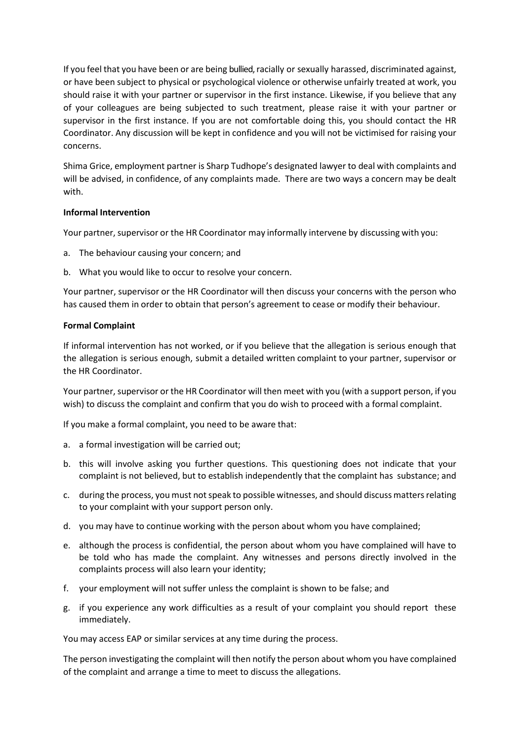If you feel that you have been or are being bullied, racially or sexually harassed, discriminated against, or have been subject to physical or psychological violence or otherwise unfairly treated at work, you should raise it with your partner or supervisor in the first instance. Likewise, if you believe that any of your colleagues are being subjected to such treatment, please raise it with your partner or supervisor in the first instance. If you are not comfortable doing this, you should contact the HR Coordinator. Any discussion will be kept in confidence and you will not be victimised for raising your concerns.

Shima Grice, employment partner is Sharp Tudhope's designated lawyer to deal with complaints and will be advised, in confidence, of any complaints made. There are two ways a concern may be dealt with.

## **Informal Intervention**

Your partner, supervisor or the HR Coordinator may informally intervene by discussing with you:

- a. The behaviour causing your concern; and
- b. What you would like to occur to resolve your concern.

Your partner, supervisor or the HR Coordinator will then discuss your concerns with the person who has caused them in order to obtain that person's agreement to cease or modify their behaviour.

## **Formal Complaint**

If informal intervention has not worked, or if you believe that the allegation is serious enough that the allegation is serious enough, submit a detailed written complaint to your partner, supervisor or the HR Coordinator.

Your partner, supervisor or the HR Coordinator will then meet with you (with a support person, if you wish) to discuss the complaint and confirm that you do wish to proceed with a formal complaint.

If you make a formal complaint, you need to be aware that:

- a. a formal investigation will be carried out;
- b. this will involve asking you further questions. This questioning does not indicate that your complaint is not believed, but to establish independently that the complaint has substance; and
- c. during the process, you must not speak to possible witnesses, and should discuss mattersrelating to your complaint with your support person only.
- d. you may have to continue working with the person about whom you have complained;
- e. although the process is confidential, the person about whom you have complained will have to be told who has made the complaint. Any witnesses and persons directly involved in the complaints process will also learn your identity;
- f. your employment will not suffer unless the complaint is shown to be false; and
- g. if you experience any work difficulties as a result of your complaint you should report these immediately.

You may access EAP or similar services at any time during the process.

The person investigating the complaint will then notify the person about whom you have complained of the complaint and arrange a time to meet to discuss the allegations.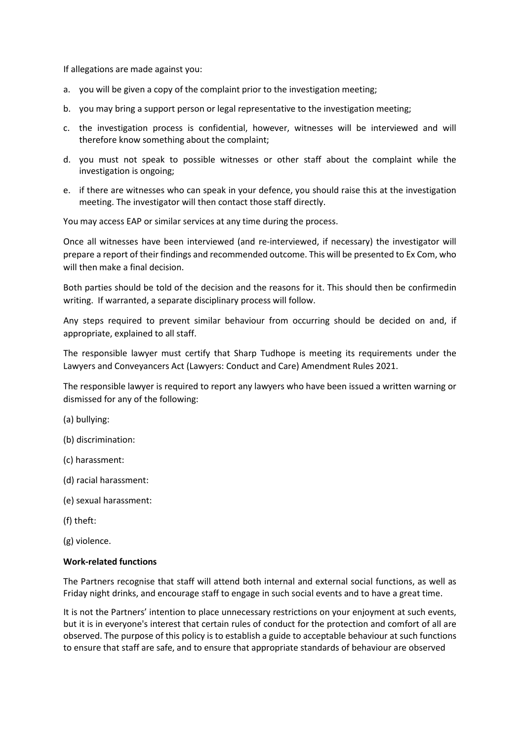If allegations are made against you:

- a. you will be given a copy of the complaint prior to the investigation meeting;
- b. you may bring a support person or legal representative to the investigation meeting;
- c. the investigation process is confidential, however, witnesses will be interviewed and will therefore know something about the complaint;
- d. you must not speak to possible witnesses or other staff about the complaint while the investigation is ongoing;
- e. if there are witnesses who can speak in your defence, you should raise this at the investigation meeting. The investigator will then contact those staff directly.

You may access EAP or similar services at any time during the process.

Once all witnesses have been interviewed (and re-interviewed, if necessary) the investigator will prepare a report of their findings and recommended outcome. This will be presented to Ex Com, who will then make a final decision.

Both parties should be told of the decision and the reasons for it. This should then be confirmed in writing. If warranted, a separate disciplinary process will follow.

Any steps required to prevent similar behaviour from occurring should be decided on and, if appropriate, explained to all staff.

The responsible lawyer must certify that Sharp Tudhope is meeting its requirements under the Lawyers and Conveyancers Act (Lawyers: Conduct and Care) Amendment Rules 2021.

The responsible lawyer is required to report any lawyers who have been issued a written warning or dismissed for any of the following:

(a) bullying:

- (b) discrimination:
- (c) harassment:
- (d) racial harassment:
- (e) sexual harassment:
- (f) theft:
- (g) violence.

#### **Work-related functions**

The Partners recognise that staff will attend both internal and external social functions, as well as Friday night drinks, and encourage staff to engage in such social events and to have a great time.

It is not the Partners' intention to place unnecessary restrictions on your enjoyment at such events, but it is in everyone's interest that certain rules of conduct for the protection and comfort of all are observed. The purpose of this policy is to establish a guide to acceptable behaviour at such functions to ensure that staff are safe, and to ensure that appropriate standards of behaviour are observed